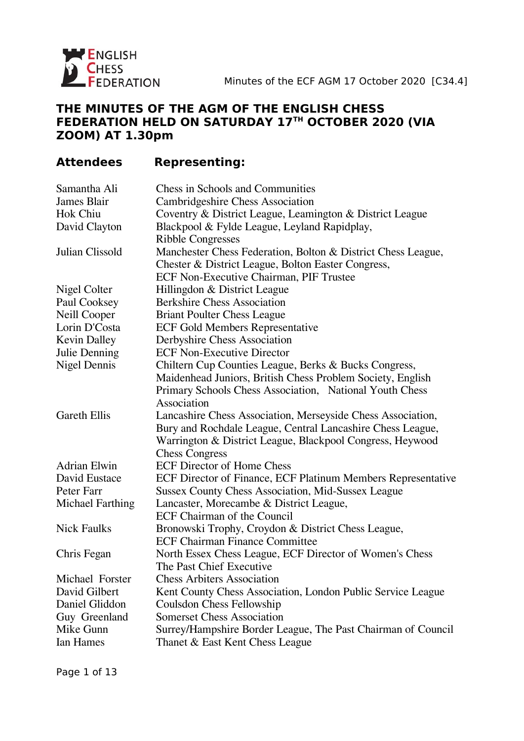

### **THE MINUTES OF THE AGM OF THE ENGLISH CHESS FEDERATION HELD ON SATURDAY 17TH OCTOBER 2020 (VIA ZOOM) AT 1.30pm**

# **Attendees Representing:**

| Samantha Ali            | <b>Chess in Schools and Communities</b>                      |
|-------------------------|--------------------------------------------------------------|
| James Blair             | <b>Cambridgeshire Chess Association</b>                      |
| Hok Chiu                | Coventry & District League, Leamington & District League     |
| David Clayton           | Blackpool & Fylde League, Leyland Rapidplay,                 |
|                         | <b>Ribble Congresses</b>                                     |
| Julian Clissold         | Manchester Chess Federation, Bolton & District Chess League, |
|                         | Chester & District League, Bolton Easter Congress,           |
|                         | <b>ECF Non-Executive Chairman, PIF Trustee</b>               |
| Nigel Colter            | Hillingdon & District League                                 |
| Paul Cooksey            | <b>Berkshire Chess Association</b>                           |
| <b>Neill Cooper</b>     | <b>Briant Poulter Chess League</b>                           |
| Lorin D'Costa           | <b>ECF Gold Members Representative</b>                       |
| <b>Kevin Dalley</b>     | Derbyshire Chess Association                                 |
| Julie Denning           | <b>ECF Non-Executive Director</b>                            |
| <b>Nigel Dennis</b>     | Chiltern Cup Counties League, Berks & Bucks Congress,        |
|                         | Maidenhead Juniors, British Chess Problem Society, English   |
|                         | Primary Schools Chess Association, National Youth Chess      |
|                         | Association                                                  |
| <b>Gareth Ellis</b>     | Lancashire Chess Association, Merseyside Chess Association,  |
|                         | Bury and Rochdale League, Central Lancashire Chess League,   |
|                         | Warrington & District League, Blackpool Congress, Heywood    |
|                         | <b>Chess Congress</b>                                        |
| <b>Adrian Elwin</b>     | <b>ECF Director of Home Chess</b>                            |
| David Eustace           | ECF Director of Finance, ECF Platinum Members Representative |
| Peter Farr              | <b>Sussex County Chess Association, Mid-Sussex League</b>    |
| <b>Michael Farthing</b> | Lancaster, Morecambe & District League,                      |
|                         | <b>ECF Chairman of the Council</b>                           |
| <b>Nick Faulks</b>      | Bronowski Trophy, Croydon & District Chess League,           |
|                         | <b>ECF Chairman Finance Committee</b>                        |
| Chris Fegan             | North Essex Chess League, ECF Director of Women's Chess      |
|                         | The Past Chief Executive                                     |
| Michael Forster         | <b>Chess Arbiters Association</b>                            |
| David Gilbert           | Kent County Chess Association, London Public Service League  |
| Daniel Gliddon          | <b>Coulsdon Chess Fellowship</b>                             |
| Guy Greenland           | <b>Somerset Chess Association</b>                            |
| Mike Gunn               | Surrey/Hampshire Border League, The Past Chairman of Council |
| <b>Ian Hames</b>        | Thanet & East Kent Chess League                              |
|                         |                                                              |

Page 1 of 13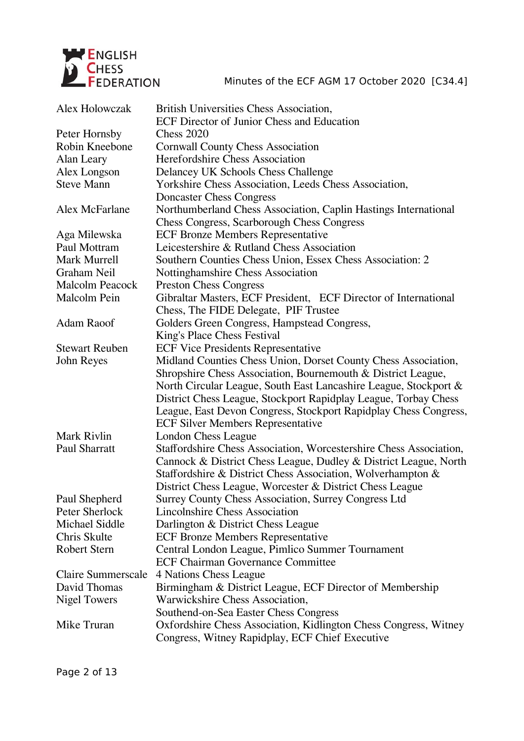

| Alex Holowczak            | <b>British Universities Chess Association,</b>                     |
|---------------------------|--------------------------------------------------------------------|
|                           | <b>ECF Director of Junior Chess and Education</b>                  |
| Peter Hornsby             | <b>Chess 2020</b>                                                  |
| Robin Kneebone            | <b>Cornwall County Chess Association</b>                           |
| Alan Leary                | <b>Herefordshire Chess Association</b>                             |
| Alex Longson              | Delancey UK Schools Chess Challenge                                |
| <b>Steve Mann</b>         | Yorkshire Chess Association, Leeds Chess Association,              |
|                           | <b>Doncaster Chess Congress</b>                                    |
| Alex McFarlane            | Northumberland Chess Association, Caplin Hastings International    |
|                           | <b>Chess Congress, Scarborough Chess Congress</b>                  |
| Aga Milewska              | <b>ECF Bronze Members Representative</b>                           |
| Paul Mottram              | Leicestershire & Rutland Chess Association                         |
| Mark Murrell              | Southern Counties Chess Union, Essex Chess Association: 2          |
| Graham Neil               | Nottinghamshire Chess Association                                  |
| <b>Malcolm Peacock</b>    | <b>Preston Chess Congress</b>                                      |
| Malcolm Pein              | Gibraltar Masters, ECF President, ECF Director of International    |
|                           | Chess, The FIDE Delegate, PIF Trustee                              |
| Adam Raoof                | Golders Green Congress, Hampstead Congress,                        |
|                           | King's Place Chess Festival                                        |
| <b>Stewart Reuben</b>     | <b>ECF Vice Presidents Representative</b>                          |
| John Reyes                | Midland Counties Chess Union, Dorset County Chess Association,     |
|                           | Shropshire Chess Association, Bournemouth & District League,       |
|                           | North Circular League, South East Lancashire League, Stockport &   |
|                           | District Chess League, Stockport Rapidplay League, Torbay Chess    |
|                           | League, East Devon Congress, Stockport Rapidplay Chess Congress,   |
|                           | <b>ECF Silver Members Representative</b>                           |
| Mark Rivlin               | London Chess League                                                |
| <b>Paul Sharratt</b>      | Staffordshire Chess Association, Worcestershire Chess Association, |
|                           | Cannock & District Chess League, Dudley & District League, North   |
|                           | Staffordshire & District Chess Association, Wolverhampton &        |
|                           | District Chess League, Worcester & District Chess League           |
| Paul Shepherd             | Surrey County Chess Association, Surrey Congress Ltd               |
| Peter Sherlock            | <b>Lincolnshire Chess Association</b>                              |
| <b>Michael Siddle</b>     | Darlington & District Chess League                                 |
| Chris Skulte              | <b>ECF Bronze Members Representative</b>                           |
| <b>Robert Stern</b>       | Central London League, Pimlico Summer Tournament                   |
|                           | <b>ECF Chairman Governance Committee</b>                           |
| <b>Claire Summerscale</b> | 4 Nations Chess League                                             |
| David Thomas              | Birmingham & District League, ECF Director of Membership           |
| <b>Nigel Towers</b>       | Warwickshire Chess Association,                                    |
|                           | Southend-on-Sea Easter Chess Congress                              |
| Mike Truran               | Oxfordshire Chess Association, Kidlington Chess Congress, Witney   |
|                           | Congress, Witney Rapidplay, ECF Chief Executive                    |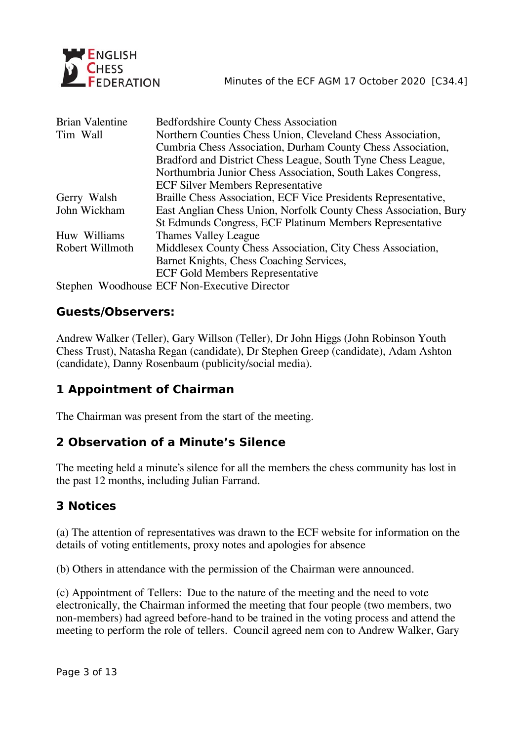

| <b>Brian Valentine</b> | <b>Bedfordshire County Chess Association</b>                     |
|------------------------|------------------------------------------------------------------|
| Tim Wall               | Northern Counties Chess Union, Cleveland Chess Association,      |
|                        | Cumbria Chess Association, Durham County Chess Association,      |
|                        | Bradford and District Chess League, South Tyne Chess League,     |
|                        | Northumbria Junior Chess Association, South Lakes Congress,      |
|                        | <b>ECF Silver Members Representative</b>                         |
| Gerry Walsh            | Braille Chess Association, ECF Vice Presidents Representative,   |
| John Wickham           | East Anglian Chess Union, Norfolk County Chess Association, Bury |
|                        | St Edmunds Congress, ECF Platinum Members Representative         |
| Huw Williams           | <b>Thames Valley League</b>                                      |
| Robert Willmoth        | Middlesex County Chess Association, City Chess Association,      |
|                        | Barnet Knights, Chess Coaching Services,                         |
|                        | <b>ECF Gold Members Representative</b>                           |
|                        | Stephen Woodhouse ECF Non-Executive Director                     |

### **Guests/Observers:**

Andrew Walker (Teller), Gary Willson (Teller), Dr John Higgs (John Robinson Youth Chess Trust), Natasha Regan (candidate), Dr Stephen Greep (candidate), Adam Ashton (candidate), Danny Rosenbaum (publicity/social media).

# **1 Appointment of Chairman**

The Chairman was present from the start of the meeting.

## **2 Observation of a Minute's Silence**

The meeting held a minute's silence for all the members the chess community has lost in the past 12 months, including Julian Farrand.

## **3 Notices**

(a) The attention of representatives was drawn to the ECF website for information on the details of voting entitlements, proxy notes and apologies for absence

(b) Others in attendance with the permission of the Chairman were announced.

(c) Appointment of Tellers: Due to the nature of the meeting and the need to vote electronically, the Chairman informed the meeting that four people (two members, two non-members) had agreed before-hand to be trained in the voting process and attend the meeting to perform the role of tellers. Council agreed nem con to Andrew Walker, Gary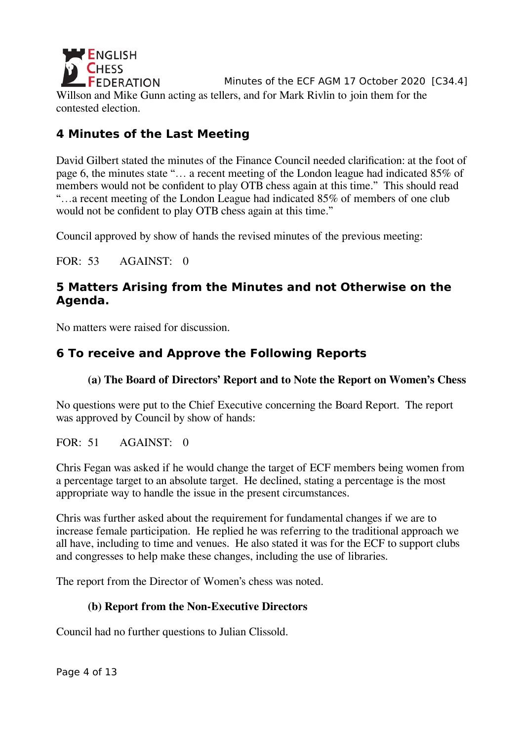**ENGLISH FEDERATION** Minutes of the ECF AGM 17 October 2020 [C34.4] Willson and Mike Gunn acting as tellers, and for Mark Rivlin to join them for the contested election.

# **4 Minutes of the Last Meeting**

David Gilbert stated the minutes of the Finance Council needed clarification: at the foot of page 6, the minutes state "… a recent meeting of the London league had indicated 85% of members would not be confident to play OTB chess again at this time." This should read "…a recent meeting of the London League had indicated 85% of members of one club would not be confident to play OTB chess again at this time."

Council approved by show of hands the revised minutes of the previous meeting:

FOR: 53 AGAINST: 0

## **5 Matters Arising from the Minutes and not Otherwise on the Agenda.**

No matters were raised for discussion.

# **6 To receive and Approve the Following Reports**

### **(a) The Board of Directors' Report and to Note the Report on Women's Chess**

No questions were put to the Chief Executive concerning the Board Report. The report was approved by Council by show of hands:

FOR: 51 AGAINST: 0

Chris Fegan was asked if he would change the target of ECF members being women from a percentage target to an absolute target. He declined, stating a percentage is the most appropriate way to handle the issue in the present circumstances.

Chris was further asked about the requirement for fundamental changes if we are to increase female participation. He replied he was referring to the traditional approach we all have, including to time and venues. He also stated it was for the ECF to support clubs and congresses to help make these changes, including the use of libraries.

The report from the Director of Women's chess was noted.

### **(b) Report from the Non-Executive Directors**

Council had no further questions to Julian Clissold.

Page 4 of 13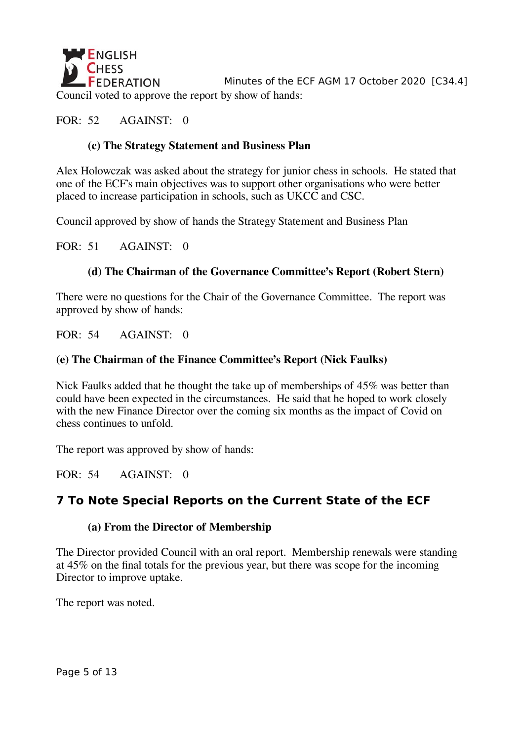

Minutes of the ECF AGM 17 October 2020 [C34.4] Council voted to approve the report by show of hands:

### FOR: 52 AGAINST: 0

### **(c) The Strategy Statement and Business Plan**

Alex Holowczak was asked about the strategy for junior chess in schools. He stated that one of the ECF's main objectives was to support other organisations who were better placed to increase participation in schools, such as UKCC and CSC.

Council approved by show of hands the Strategy Statement and Business Plan

FOR: 51 AGAINST: 0

### **(d) The Chairman of the Governance Committee's Report (Robert Stern)**

There were no questions for the Chair of the Governance Committee. The report was approved by show of hands:

FOR: 54 AGAINST: 0

#### **(e) The Chairman of the Finance Committee's Report (Nick Faulks)**

Nick Faulks added that he thought the take up of memberships of 45% was better than could have been expected in the circumstances. He said that he hoped to work closely with the new Finance Director over the coming six months as the impact of Covid on chess continues to unfold.

The report was approved by show of hands:

FOR: 54 AGAINST: 0

## **7 To Note Special Reports on the Current State of the ECF**

#### **(a) From the Director of Membership**

The Director provided Council with an oral report. Membership renewals were standing at 45% on the final totals for the previous year, but there was scope for the incoming Director to improve uptake.

The report was noted.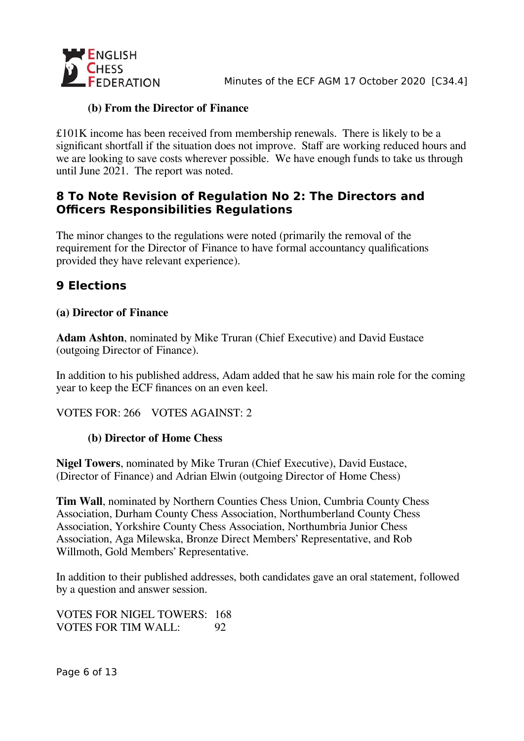

### **(b) From the Director of Finance**

£101K income has been received from membership renewals. There is likely to be a significant shortfall if the situation does not improve. Staff are working reduced hours and we are looking to save costs wherever possible. We have enough funds to take us through until June 2021. The report was noted.

### **8 To Note Revision of Regulation No 2: The Directors and Officers Responsibilities Regulations**

The minor changes to the regulations were noted (primarily the removal of the requirement for the Director of Finance to have formal accountancy qualifications provided they have relevant experience).

# **9 Elections**

### **(a) Director of Finance**

**Adam Ashton**, nominated by Mike Truran (Chief Executive) and David Eustace (outgoing Director of Finance).

In addition to his published address, Adam added that he saw his main role for the coming year to keep the ECF finances on an even keel.

VOTES FOR: 266 VOTES AGAINST: 2

### **(b) Director of Home Chess**

**Nigel Towers**, nominated by Mike Truran (Chief Executive), David Eustace, (Director of Finance) and Adrian Elwin (outgoing Director of Home Chess)

**Tim Wall**, nominated by Northern Counties Chess Union, Cumbria County Chess Association, Durham County Chess Association, Northumberland County Chess Association, Yorkshire County Chess Association, Northumbria Junior Chess Association, Aga Milewska, Bronze Direct Members' Representative, and Rob Willmoth, Gold Members' Representative.

In addition to their published addresses, both candidates gave an oral statement, followed by a question and answer session.

VOTES FOR NIGEL TOWERS: 168 VOTES FOR TIM WALL: 92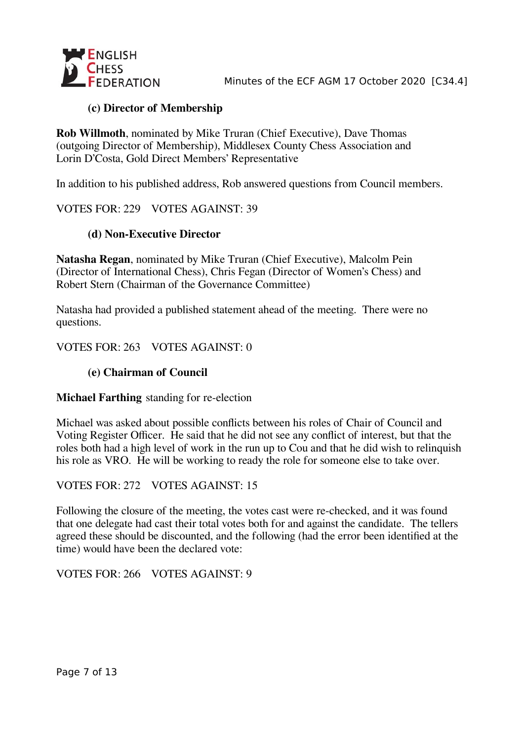

### **(c) Director of Membership**

**Rob Willmoth**, nominated by Mike Truran (Chief Executive), Dave Thomas (outgoing Director of Membership), Middlesex County Chess Association and Lorin D'Costa, Gold Direct Members' Representative

In addition to his published address, Rob answered questions from Council members.

VOTES FOR: 229 VOTES AGAINST: 39

#### **(d) Non-Executive Director**

**Natasha Regan**, nominated by Mike Truran (Chief Executive), Malcolm Pein (Director of International Chess), Chris Fegan (Director of Women's Chess) and Robert Stern (Chairman of the Governance Committee)

Natasha had provided a published statement ahead of the meeting. There were no questions.

VOTES FOR: 263 VOTES AGAINST: 0

#### **(e) Chairman of Council**

#### **Michael Farthing** standing for re-election

Michael was asked about possible conflicts between his roles of Chair of Council and Voting Register Officer. He said that he did not see any conflict of interest, but that the roles both had a high level of work in the run up to Cou and that he did wish to relinquish his role as VRO. He will be working to ready the role for someone else to take over.

VOTES FOR: 272 VOTES AGAINST: 15

Following the closure of the meeting, the votes cast were re-checked, and it was found that one delegate had cast their total votes both for and against the candidate. The tellers agreed these should be discounted, and the following (had the error been identified at the time) would have been the declared vote:

VOTES FOR: 266 VOTES AGAINST: 9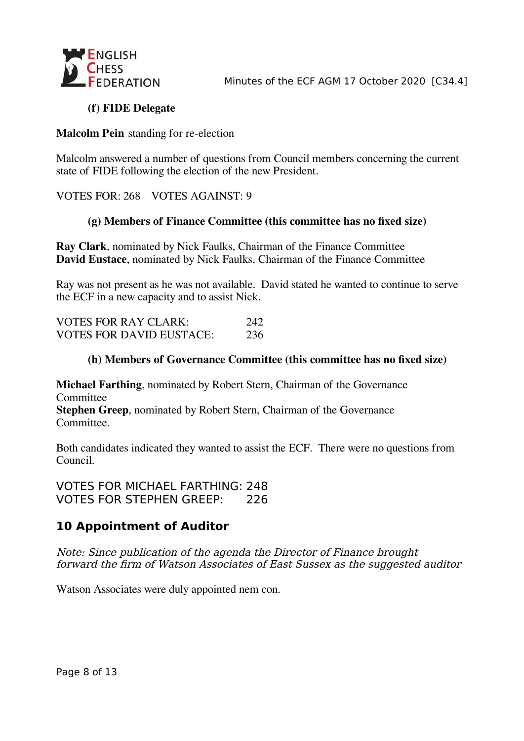

### **(f) FIDE Delegate**

#### **Malcolm Pein** standing for re-election

Malcolm answered a number of questions from Council members concerning the current state of FIDE following the election of the new President.

VOTES FOR: 268 VOTES AGAINST: 9

#### **(g) Members of Finance Committee (this committee has no fixed size)**

**Ray Clark**, nominated by Nick Faulks, Chairman of the Finance Committee **David Eustace**, nominated by Nick Faulks, Chairman of the Finance Committee

Ray was not present as he was not available. David stated he wanted to continue to serve the ECF in a new capacity and to assist Nick.

| <b>VOTES FOR RAY CLARK:</b>     | 242 |
|---------------------------------|-----|
| <b>VOTES FOR DAVID EUSTACE:</b> | 236 |

#### **(h) Members of Governance Committee (this committee has no fixed size)**

**Michael Farthing**, nominated by Robert Stern, Chairman of the Governance Committee

**Stephen Greep**, nominated by Robert Stern, Chairman of the Governance Committee.

Both candidates indicated they wanted to assist the ECF. There were no questions from Council.

VOTES FOR MICHAEL FARTHING: 248 VOTES FOR STEPHEN GREEP: 226

## **10 Appointment of Auditor**

Note: Since publication of the agenda the Director of Finance brought forward the firm of Watson Associates of East Sussex as the suggested auditor

Watson Associates were duly appointed nem con.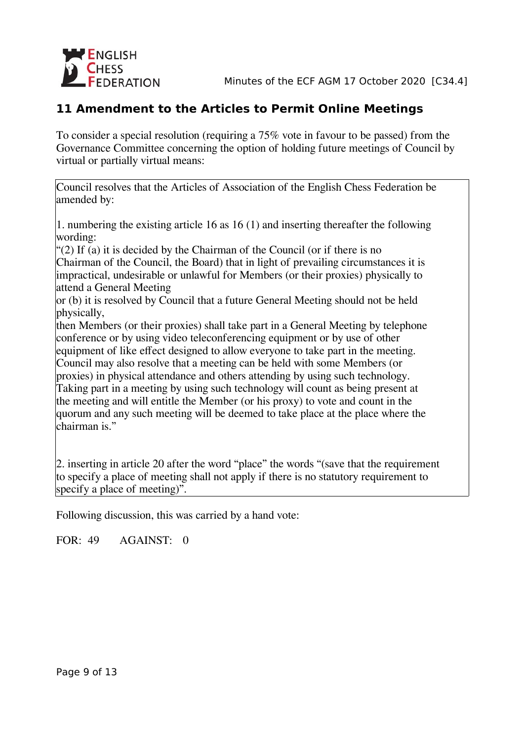

# **11 Amendment to the Articles to Permit Online Meetings**

To consider a special resolution (requiring a 75% vote in favour to be passed) from the Governance Committee concerning the option of holding future meetings of Council by virtual or partially virtual means:

Council resolves that the Articles of Association of the English Chess Federation be amended by:

1. numbering the existing article 16 as 16 (1) and inserting thereafter the following wording:

"(2) If (a) it is decided by the Chairman of the Council (or if there is no Chairman of the Council, the Board) that in light of prevailing circumstances it is impractical, undesirable or unlawful for Members (or their proxies) physically to attend a General Meeting

or (b) it is resolved by Council that a future General Meeting should not be held physically,

then Members (or their proxies) shall take part in a General Meeting by telephone conference or by using video teleconferencing equipment or by use of other equipment of like effect designed to allow everyone to take part in the meeting.

Council may also resolve that a meeting can be held with some Members (or proxies) in physical attendance and others attending by using such technology.

Taking part in a meeting by using such technology will count as being present at the meeting and will entitle the Member (or his proxy) to vote and count in the quorum and any such meeting will be deemed to take place at the place where the chairman is."

2. inserting in article 20 after the word "place" the words "(save that the requirement to specify a place of meeting shall not apply if there is no statutory requirement to specify a place of meeting)".

Following discussion, this was carried by a hand vote:

FOR: 49 AGAINST: 0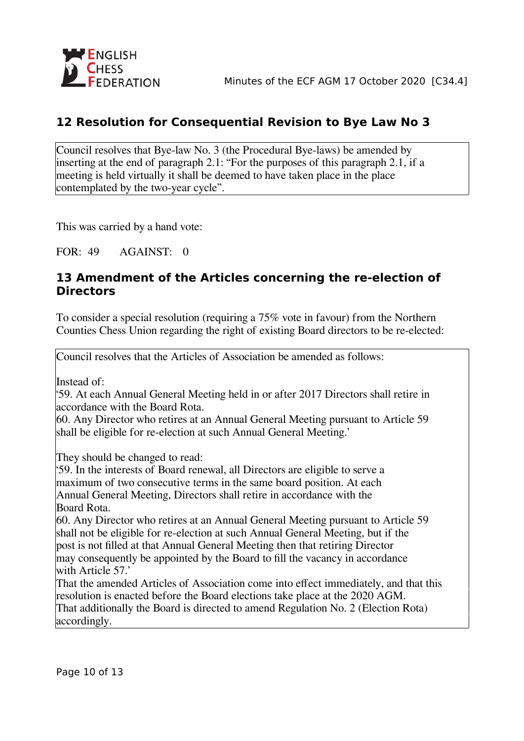# **12 Resolution for Consequential Revision to Bye Law No 3**

Council resolves that Bye-law No. 3 (the Procedural Bye-laws) be amended by inserting at the end of paragraph 2.1: "For the purposes of this paragraph 2.1, if a meeting is held virtually it shall be deemed to have taken place in the place contemplated by the two-year cycle".

This was carried by a hand vote:

FOR: 49 AGAINST: 0

### **13 Amendment of the Articles concerning the re-election of Directors**

To consider a special resolution (requiring a 75% vote in favour) from the Northern Counties Chess Union regarding the right of existing Board directors to be re-elected:

Council resolves that the Articles of Association be amended as follows:

Instead of:

'59. At each Annual General Meeting held in or after 2017 Directors shall retire in accordance with the Board Rota.

60. Any Director who retires at an Annual General Meeting pursuant to Article 59 shall be eligible for re-election at such Annual General Meeting.'

They should be changed to read:

'59. In the interests of Board renewal, all Directors are eligible to serve a maximum of two consecutive terms in the same board position. At each Annual General Meeting, Directors shall retire in accordance with the Board Rota.

60. Any Director who retires at an Annual General Meeting pursuant to Article 59 shall not be eligible for re-election at such Annual General Meeting, but if the post is not filled at that Annual General Meeting then that retiring Director may consequently be appointed by the Board to fill the vacancy in accordance with Article 57.'

That the amended Articles of Association come into effect immediately, and that this resolution is enacted before the Board elections take place at the 2020 AGM. That additionally the Board is directed to amend Regulation No. 2 (Election Rota) accordingly.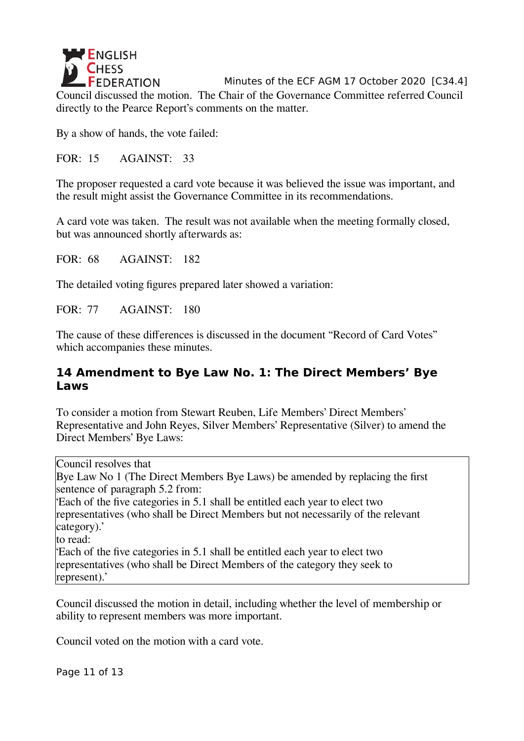

By a show of hands, the vote failed:

FOR: 15 AGAINST: 33

The proposer requested a card vote because it was believed the issue was important, and the result might assist the Governance Committee in its recommendations.

A card vote was taken. The result was not available when the meeting formally closed, but was announced shortly afterwards as:

FOR: 68 AGAINST: 182

The detailed voting figures prepared later showed a variation:

FOR: 77 AGAINST: 180

The cause of these differences is discussed in the document "Record of Card Votes" which accompanies these minutes.

### **14 Amendment to Bye Law No. 1: The Direct Members' Bye Laws**

To consider a motion from Stewart Reuben, Life Members' Direct Members' Representative and John Reyes, Silver Members' Representative (Silver) to amend the Direct Members' Bye Laws:

Council resolves that Bye Law No 1 (The Direct Members Bye Laws) be amended by replacing the first sentence of paragraph 5.2 from: 'Each of the five categories in 5.1 shall be entitled each year to elect two representatives (who shall be Direct Members but not necessarily of the relevant category).' to read: 'Each of the five categories in 5.1 shall be entitled each year to elect two representatives (who shall be Direct Members of the category they seek to represent).'

Council discussed the motion in detail, including whether the level of membership or ability to represent members was more important.

Council voted on the motion with a card vote.

Page 11 of 13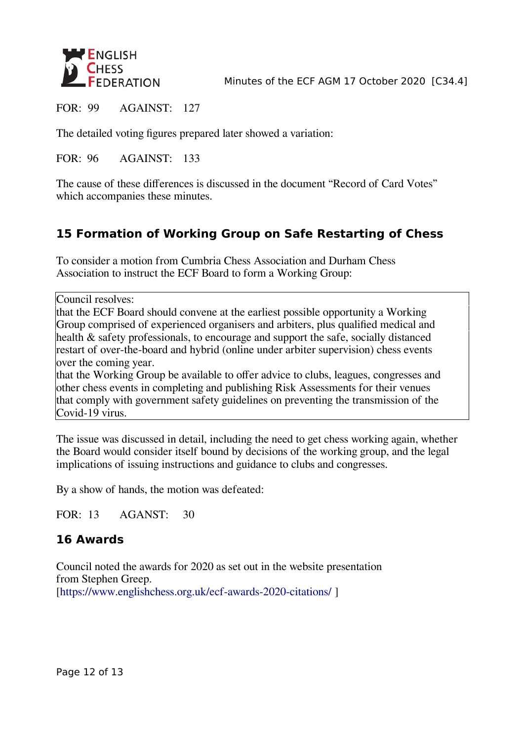

Minutes of the ECF AGM 17 October 2020 [C34.4]

FOR: 99 AGAINST: 127

The detailed voting figures prepared later showed a variation:

FOR: 96 AGAINST: 133

The cause of these differences is discussed in the document "Record of Card Votes" which accompanies these minutes.

# **15 Formation of Working Group on Safe Restarting of Chess**

To consider a motion from Cumbria Chess Association and Durham Chess Association to instruct the ECF Board to form a Working Group:

Council resolves:

that the ECF Board should convene at the earliest possible opportunity a Working Group comprised of experienced organisers and arbiters, plus qualified medical and health & safety professionals, to encourage and support the safe, socially distanced restart of over-the-board and hybrid (online under arbiter supervision) chess events over the coming year.

that the Working Group be available to offer advice to clubs, leagues, congresses and other chess events in completing and publishing Risk Assessments for their venues that comply with government safety guidelines on preventing the transmission of the Covid-19 virus.

The issue was discussed in detail, including the need to get chess working again, whether the Board would consider itself bound by decisions of the working group, and the legal implications of issuing instructions and guidance to clubs and congresses.

By a show of hands, the motion was defeated:

FOR: 13 AGANST: 30

## **16 Awards**

Council noted the awards for 2020 as set out in the website presentation from Stephen Greep. [https://www.englishchess.org.uk/ecf-awards-2020-citations/]